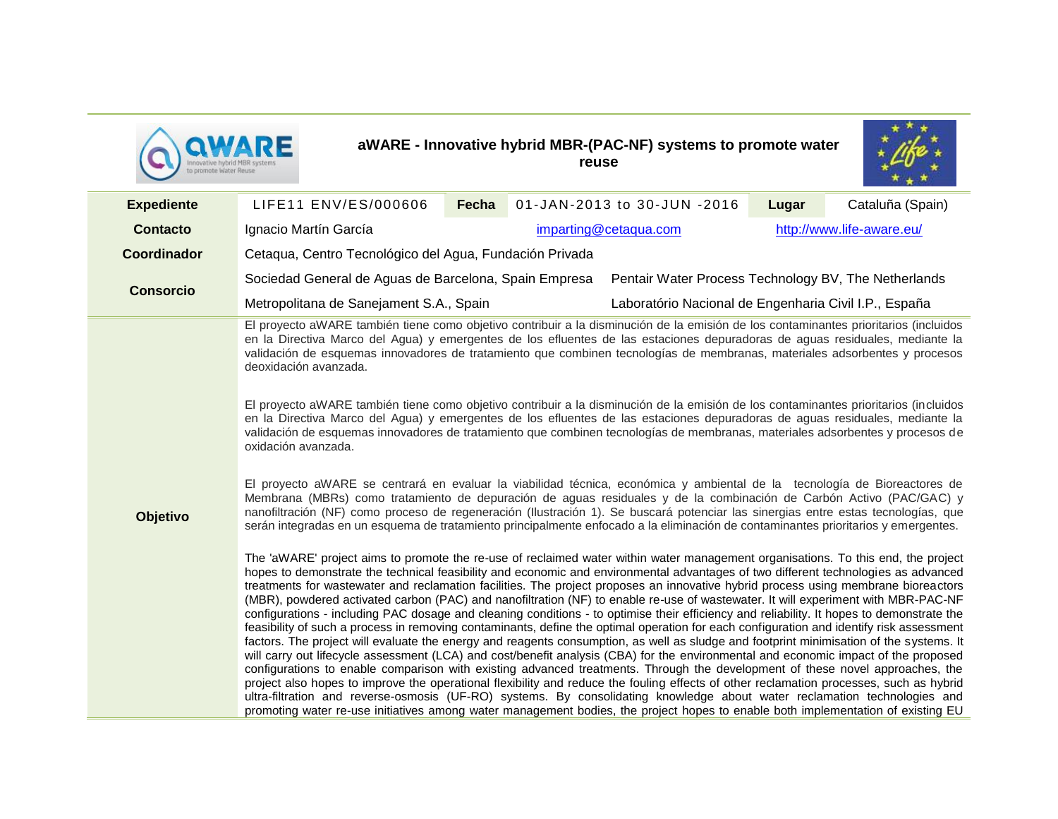

## **aWARE - Innovative hybrid MBR-(PAC-NF) systems to promote water reuse**



| <b>Expediente</b> | LIFE11 ENV/ES/000606                                                                                                                                                                                                                                                                                                                                                                                                                                                                                                                                                                                                                                                                                                                                                                                                                                                                                                                                                                                                                                                                                                                                                                                                                                                                                                                                                                                                                                                                                                                                                                                                                                                       | Fecha                 | 01-JAN-2013 to 30-JUN -2016 | Lugar | Cataluña (Spain) |
|-------------------|----------------------------------------------------------------------------------------------------------------------------------------------------------------------------------------------------------------------------------------------------------------------------------------------------------------------------------------------------------------------------------------------------------------------------------------------------------------------------------------------------------------------------------------------------------------------------------------------------------------------------------------------------------------------------------------------------------------------------------------------------------------------------------------------------------------------------------------------------------------------------------------------------------------------------------------------------------------------------------------------------------------------------------------------------------------------------------------------------------------------------------------------------------------------------------------------------------------------------------------------------------------------------------------------------------------------------------------------------------------------------------------------------------------------------------------------------------------------------------------------------------------------------------------------------------------------------------------------------------------------------------------------------------------------------|-----------------------|-----------------------------|-------|------------------|
| <b>Contacto</b>   | Ignacio Martín García                                                                                                                                                                                                                                                                                                                                                                                                                                                                                                                                                                                                                                                                                                                                                                                                                                                                                                                                                                                                                                                                                                                                                                                                                                                                                                                                                                                                                                                                                                                                                                                                                                                      | imparting@cetaqua.com | http://www.life-aware.eu/   |       |                  |
| Coordinador       | Cetaqua, Centro Tecnológico del Agua, Fundación Privada                                                                                                                                                                                                                                                                                                                                                                                                                                                                                                                                                                                                                                                                                                                                                                                                                                                                                                                                                                                                                                                                                                                                                                                                                                                                                                                                                                                                                                                                                                                                                                                                                    |                       |                             |       |                  |
| <b>Consorcio</b>  | Pentair Water Process Technology BV, The Netherlands<br>Sociedad General de Aguas de Barcelona, Spain Empresa                                                                                                                                                                                                                                                                                                                                                                                                                                                                                                                                                                                                                                                                                                                                                                                                                                                                                                                                                                                                                                                                                                                                                                                                                                                                                                                                                                                                                                                                                                                                                              |                       |                             |       |                  |
|                   | Metropolitana de Sanejament S.A., Spain<br>Laboratório Nacional de Engenharia Civil I.P., España                                                                                                                                                                                                                                                                                                                                                                                                                                                                                                                                                                                                                                                                                                                                                                                                                                                                                                                                                                                                                                                                                                                                                                                                                                                                                                                                                                                                                                                                                                                                                                           |                       |                             |       |                  |
|                   | El proyecto aWARE también tiene como objetivo contribuir a la disminución de la emisión de los contaminantes prioritarios (incluidos<br>en la Directiva Marco del Agua) y emergentes de los efluentes de las estaciones depuradoras de aguas residuales, mediante la<br>validación de esquemas innovadores de tratamiento que combinen tecnologías de membranas, materiales adsorbentes y procesos<br>deoxidación avanzada.<br>El proyecto aWARE también tiene como objetivo contribuir a la disminución de la emisión de los contaminantes prioritarios (incluidos                                                                                                                                                                                                                                                                                                                                                                                                                                                                                                                                                                                                                                                                                                                                                                                                                                                                                                                                                                                                                                                                                                        |                       |                             |       |                  |
| Objetivo          | en la Directiva Marco del Agua) y emergentes de los efluentes de las estaciones depuradoras de aguas residuales, mediante la<br>validación de esquemas innovadores de tratamiento que combinen tecnologías de membranas, materiales adsorbentes y procesos de<br>oxidación avanzada.                                                                                                                                                                                                                                                                                                                                                                                                                                                                                                                                                                                                                                                                                                                                                                                                                                                                                                                                                                                                                                                                                                                                                                                                                                                                                                                                                                                       |                       |                             |       |                  |
|                   | El proyecto aWARE se centrará en evaluar la viabilidad técnica, económica y ambiental de la tecnología de Bioreactores de<br>Membrana (MBRs) como tratamiento de depuración de aguas residuales y de la combinación de Carbón Activo (PAC/GAC) y<br>nanofiltración (NF) como proceso de regeneración (Ilustración 1). Se buscará potenciar las sinergias entre estas tecnologías, que<br>serán integradas en un esquema de tratamiento principalmente enfocado a la eliminación de contaminantes prioritarios y emergentes.                                                                                                                                                                                                                                                                                                                                                                                                                                                                                                                                                                                                                                                                                                                                                                                                                                                                                                                                                                                                                                                                                                                                                |                       |                             |       |                  |
|                   | The 'aWARE' project aims to promote the re-use of reclaimed water within water management organisations. To this end, the project<br>hopes to demonstrate the technical feasibility and economic and environmental advantages of two different technologies as advanced<br>treatments for wastewater and reclamation facilities. The project proposes an innovative hybrid process using membrane bioreactors<br>(MBR), powdered activated carbon (PAC) and nanofiltration (NF) to enable re-use of wastewater. It will experiment with MBR-PAC-NF<br>configurations - including PAC dosage and cleaning conditions - to optimise their efficiency and reliability. It hopes to demonstrate the<br>feasibility of such a process in removing contaminants, define the optimal operation for each configuration and identify risk assessment<br>factors. The project will evaluate the energy and reagents consumption, as well as sludge and footprint minimisation of the systems. It<br>will carry out lifecycle assessment (LCA) and cost/benefit analysis (CBA) for the environmental and economic impact of the proposed<br>configurations to enable comparison with existing advanced treatments. Through the development of these novel approaches, the<br>project also hopes to improve the operational flexibility and reduce the fouling effects of other reclamation processes, such as hybrid<br>ultra-filtration and reverse-osmosis (UF-RO) systems. By consolidating knowledge about water reclamation technologies and<br>promoting water re-use initiatives among water management bodies, the project hopes to enable both implementation of existing EU |                       |                             |       |                  |